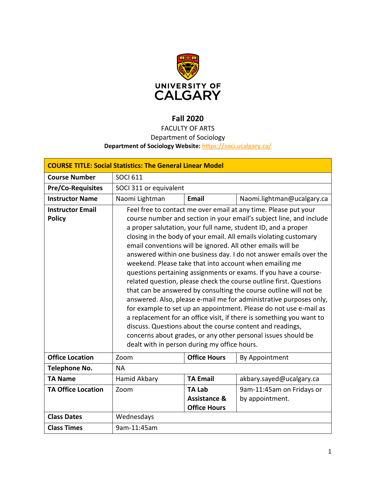

# **Fall 2020**

# FACULTY OF ARTS Department of Sociology

## **Department of Sociology Website:<https://soci.ucalgary.ca/>**

| <b>COURSE TITLE: Social Statistics: The General Linear Model</b> |                                                                                                                                                                                                                                                                                                                                                                                                                                                                                                                                                                                                                                                                                                                                                                                                                                                                                                                                                                            |                                                                 |                                              |  |  |
|------------------------------------------------------------------|----------------------------------------------------------------------------------------------------------------------------------------------------------------------------------------------------------------------------------------------------------------------------------------------------------------------------------------------------------------------------------------------------------------------------------------------------------------------------------------------------------------------------------------------------------------------------------------------------------------------------------------------------------------------------------------------------------------------------------------------------------------------------------------------------------------------------------------------------------------------------------------------------------------------------------------------------------------------------|-----------------------------------------------------------------|----------------------------------------------|--|--|
| <b>Course Number</b>                                             | <b>SOCI 611</b>                                                                                                                                                                                                                                                                                                                                                                                                                                                                                                                                                                                                                                                                                                                                                                                                                                                                                                                                                            |                                                                 |                                              |  |  |
| <b>Pre/Co-Requisites</b>                                         | SOCI 311 or equivalent                                                                                                                                                                                                                                                                                                                                                                                                                                                                                                                                                                                                                                                                                                                                                                                                                                                                                                                                                     |                                                                 |                                              |  |  |
| <b>Instructor Name</b>                                           | Naomi Lightman                                                                                                                                                                                                                                                                                                                                                                                                                                                                                                                                                                                                                                                                                                                                                                                                                                                                                                                                                             | <b>Email</b>                                                    | Naomi.lightman@ucalgary.ca                   |  |  |
| <b>Instructor Email</b><br><b>Policy</b>                         | Feel free to contact me over email at any time. Please put your<br>course number and section in your email's subject line, and include<br>a proper salutation, your full name, student ID, and a proper<br>closing in the body of your email. All emails violating customary<br>email conventions will be ignored. All other emails will be<br>answered within one business day. I do not answer emails over the<br>weekend. Please take that into account when emailing me<br>questions pertaining assignments or exams. If you have a course-<br>related question, please check the course outline first. Questions<br>that can be answered by consulting the course outline will not be<br>answered. Also, please e-mail me for administrative purposes only,<br>for example to set up an appointment. Please do not use e-mail as<br>a replacement for an office visit, if there is something you want to<br>discuss. Questions about the course content and readings, |                                                                 |                                              |  |  |
|                                                                  | concerns about grades, or any other personal issues should be<br>dealt with in person during my office hours.                                                                                                                                                                                                                                                                                                                                                                                                                                                                                                                                                                                                                                                                                                                                                                                                                                                              |                                                                 |                                              |  |  |
| <b>Office Location</b>                                           | Zoom                                                                                                                                                                                                                                                                                                                                                                                                                                                                                                                                                                                                                                                                                                                                                                                                                                                                                                                                                                       | <b>Office Hours</b>                                             | By Appointment                               |  |  |
| <b>Telephone No.</b>                                             | <b>NA</b>                                                                                                                                                                                                                                                                                                                                                                                                                                                                                                                                                                                                                                                                                                                                                                                                                                                                                                                                                                  |                                                                 |                                              |  |  |
| <b>TA Name</b>                                                   | Hamid Akbary                                                                                                                                                                                                                                                                                                                                                                                                                                                                                                                                                                                                                                                                                                                                                                                                                                                                                                                                                               | <b>TA Email</b>                                                 | akbary.sayed@ucalgary.ca                     |  |  |
| <b>TA Office Location</b>                                        | Zoom                                                                                                                                                                                                                                                                                                                                                                                                                                                                                                                                                                                                                                                                                                                                                                                                                                                                                                                                                                       | <b>TA Lab</b><br><b>Assistance &amp;</b><br><b>Office Hours</b> | 9am-11:45am on Fridays or<br>by appointment. |  |  |
| <b>Class Dates</b>                                               | Wednesdays                                                                                                                                                                                                                                                                                                                                                                                                                                                                                                                                                                                                                                                                                                                                                                                                                                                                                                                                                                 |                                                                 |                                              |  |  |
| <b>Class Times</b>                                               | 9am-11:45am                                                                                                                                                                                                                                                                                                                                                                                                                                                                                                                                                                                                                                                                                                                                                                                                                                                                                                                                                                |                                                                 |                                              |  |  |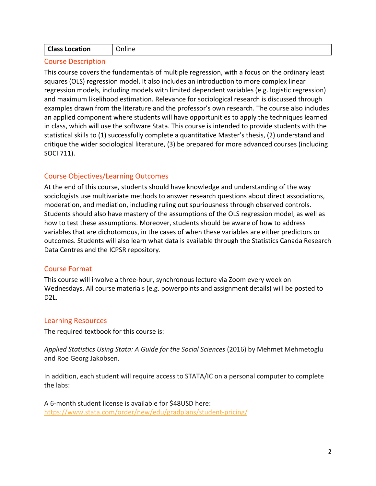| <b>Class Location</b><br>)nline |  |
|---------------------------------|--|
|---------------------------------|--|

# Course Description

This course covers the fundamentals of multiple regression, with a focus on the ordinary least squares (OLS) regression model. It also includes an introduction to more complex linear regression models, including models with limited dependent variables (e.g. logistic regression) and maximum likelihood estimation. Relevance for sociological research is discussed through examples drawn from the literature and the professor's own research. The course also includes an applied component where students will have opportunities to apply the techniques learned in class, which will use the software Stata. This course is intended to provide students with the statistical skills to (1) successfully complete a quantitative Master's thesis, (2) understand and critique the wider sociological literature, (3) be prepared for more advanced courses (including SOCI 711).

# Course Objectives/Learning Outcomes

At the end of this course, students should have knowledge and understanding of the way sociologists use multivariate methods to answer research questions about direct associations, moderation, and mediation, including ruling out spuriousness through observed controls. Students should also have mastery of the assumptions of the OLS regression model, as well as how to test these assumptions. Moreover, students should be aware of how to address variables that are dichotomous, in the cases of when these variables are either predictors or outcomes. Students will also learn what data is available through the Statistics Canada Research Data Centres and the ICPSR repository.

# Course Format

This course will involve a three-hour, synchronous lecture via Zoom every week on Wednesdays. All course materials (e.g. powerpoints and assignment details) will be posted to D2L.

### Learning Resources

The required textbook for this course is:

*Applied Statistics Using Stata: A Guide for the Social Sciences* (2016) by Mehmet Mehmetoglu and Roe Georg Jakobsen.

In addition, each student will require access to STATA/IC on a personal computer to complete the labs:

A 6-month student license is available for \$48USD here: <https://www.stata.com/order/new/edu/gradplans/student-pricing/>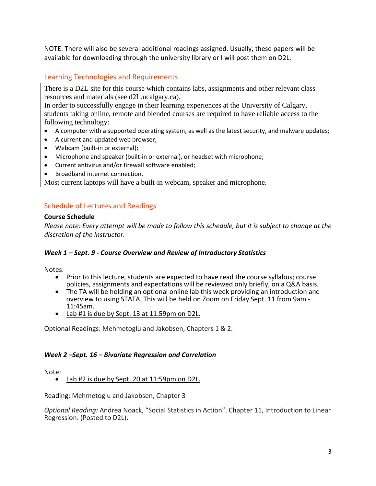NOTE: There will also be several additional readings assigned. Usually, these papers will be available for downloading through the university library or I will post them on D2L.

# Learning Technologies and Requirements

There is a D2L site for this course which contains labs, assignments and other relevant class resources and materials (see d2L.ucalgary.ca).

In order to successfully engage in their learning experiences at the University of Calgary, students taking online, remote and blended courses are required to have reliable access to the following technology:

- A computer with a supported operating system, as well as the latest security, and malware updates;
- A current and updated web browser;
- Webcam (built-in or external);
- Microphone and speaker (built-in or external), or headset with microphone;
- Current antivirus and/or firewall software enabled;
- Broadband internet connection.

Most current laptops will have a built-in webcam, speaker and microphone.

# Schedule of Lectures and Readings

## **Course Schedule**

*Please note: Every attempt will be made to follow this schedule, but it is subject to change at the discretion of the instructor.*

# *Week 1 – Sept. 9 - Course Overview and Review of Introductory Statistics*

Notes:

- Prior to this lecture, students are expected to have read the course syllabus; course policies, assignments and expectations will be reviewed only briefly, on a Q&A basis.
- $\bullet$  The TA will be holding an optional online lab this week providing an introduction and overview to using STATA. This will be held on Zoom on Friday Sept. 11 from 9am - 11:45am.
- Lab #1 is due by Sept. 13 at 11:59pm on D2L.

Optional Readings: Mehmetoglu and Jakobsen, Chapters 1 & 2.

# *Week 2 –Sept. 16 – Bivariate Regression and Correlation*

Note:<br>• Lab #2 is due by Sept. 20 at 11:59pm on D2L.

Reading: Mehmetoglu and Jakobsen, Chapter 3

*Optional Reading:* Andrea Noack, "Social Statistics in Action". Chapter 11, Introduction to Linear Regression. (Posted to D2L).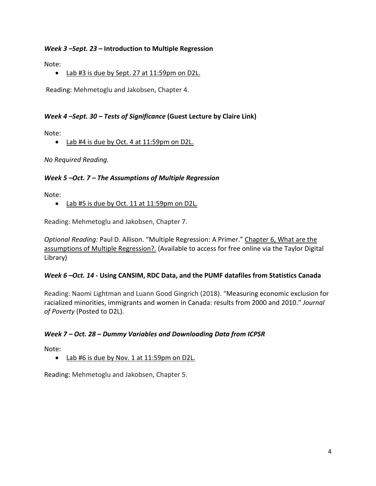### *Week 3 –Sept. 23* **– Introduction to Multiple Regression**

Note:

• Lab #3 is due by Sept. 27 at 11:59pm on D2L.

Reading: Mehmetoglu and Jakobsen, Chapter 4.

## *Week 4 –Sept. 30 – Tests of Significance* **(Guest Lecture by Claire Link)**

Note:

• Lab #4 is due by Oct. 4 at 11:59pm on D2L.

*No Required Reading.* 

### *Week 5 –Oct. 7 – The Assumptions of Multiple Regression*

Note:

• Lab #5 is due by Oct. 11 at 11:59pm on D2L.

Reading: Mehmetoglu and Jakobsen, Chapter 7.

*Optional Reading:* Paul D. Allison. "Multiple Regression: A Primer." Chapter 6, What are the assumptions of Multiple Regression?. (Available to access for free online via the Taylor Digital Library)

### *Week 6 –Oct. 14 -* **Using CANSIM, RDC Data, and the PUMF datafiles from Statistics Canada**

Reading: Naomi Lightman and Luann Good Gingrich (2018). "Measuring economic exclusion for racialized minorities, immigrants and women in Canada: results from 2000 and 2010." *Journal of Poverty* (Posted to D2L).

### *Week 7 – Oct. 28 – Dummy Variables and Downloading Data from ICPSR*

Note:

• Lab #6 is due by Nov. 1 at 11:59pm on D2L.

Reading: Mehmetoglu and Jakobsen, Chapter 5.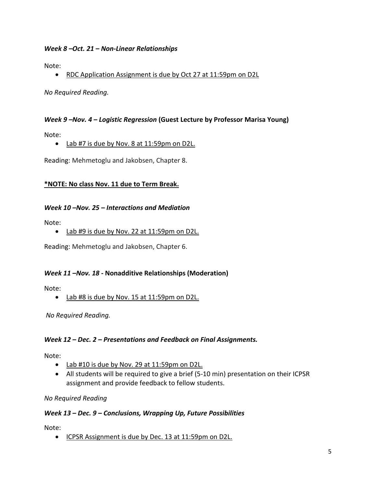### *Week 8 –Oct. 21 – Non-Linear Relationships*

Note:

• RDC Application Assignment is due by Oct 27 at 11:59pm on D2L

*No Required Reading.* 

#### *Week 9 –Nov. 4 – Logistic Regression* **(Guest Lecture by Professor Marisa Young)**

Note:

#### • Lab #7 is due by Nov. 8 at 11:59pm on D2L.

Reading: Mehmetoglu and Jakobsen, Chapter 8.

### **\*NOTE: No class Nov. 11 due to Term Break.**

#### *Week 10 –Nov. 25 – Interactions and Mediation*

Note:

• Lab #9 is due by Nov. 22 at 11:59pm on D2L.

Reading: Mehmetoglu and Jakobsen, Chapter 6.

#### *Week 11 –Nov. 18 -* **Nonadditive Relationships (Moderation)**

Note:

• Lab #8 is due by Nov. 15 at 11:59pm on D2L.

*No Required Reading.* 

#### *Week 12 – Dec. 2 – Presentations and Feedback on Final Assignments.*

Note:

- Lab #10 is due by Nov. 29 at 11:59pm on D2L.
- All students will be required to give a brief (5-10 min) presentation on their ICPSR assignment and provide feedback to fellow students.

*No Required Reading*

#### *Week 13 – Dec. 9 – Conclusions, Wrapping Up, Future Possibilities*

Note:

• ICPSR Assignment is due by Dec. 13 at 11:59pm on D2L.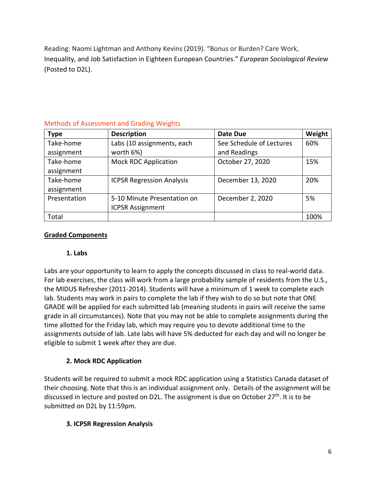Reading: Naomi Lightman and Anthony Kevins (2019). "Bonus or Burden? Care Work, Inequality, and Job Satisfaction in Eighteen European Countries." *European Sociological Review*  (Posted to D2L).

| <b>Type</b>  | <b>Description</b>               | Date Due                 | Weight |
|--------------|----------------------------------|--------------------------|--------|
| Take-home    | Labs (10 assignments, each       | See Schedule of Lectures | 60%    |
| assignment   | worth 6%)                        | and Readings             |        |
| Take-home    | <b>Mock RDC Application</b>      | October 27, 2020         | 15%    |
| assignment   |                                  |                          |        |
| Take-home    | <b>ICPSR Regression Analysis</b> | December 13, 2020        | 20%    |
| assignment   |                                  |                          |        |
| Presentation | 5-10 Minute Presentation on      | December 2, 2020         | 5%     |
|              | <b>ICPSR Assignment</b>          |                          |        |
| Total        |                                  |                          | 100%   |

# Methods of Assessment and Grading Weights

## **Graded Components**

### **1. Labs**

Labs are your opportunity to learn to apply the concepts discussed in class to real-world data. For lab exercises, the class will work from a large probability sample of residents from the U.S., the MIDUS Refresher (2011-2014). Students will have a minimum of 1 week to complete each lab. Students may work in pairs to complete the lab if they wish to do so but note that ONE GRADE will be applied for each submitted lab (meaning students in pairs will receive the same grade in all circumstances). Note that you may not be able to complete assignments during the time allotted for the Friday lab, which may require you to devote additional time to the assignments outside of lab. Late labs will have 5% deducted for each day and will no longer be eligible to submit 1 week after they are due.

# **2. Mock RDC Application**

Students will be required to submit a mock RDC application using a Statistics Canada dataset of their choosing. Note that this is an individual assignment only. Details of the assignment will be discussed in lecture and posted on D2L. The assignment is due on October 27<sup>th</sup>. It is to be submitted on D2L by 11:59pm.

# **3. ICPSR Regression Analysis**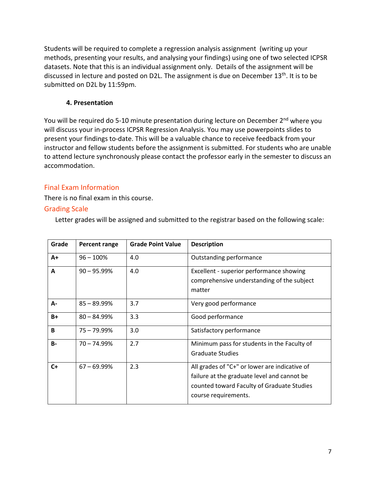Students will be required to complete a regression analysis assignment (writing up your methods, presenting your results, and analysing your findings) using one of two selected ICPSR datasets. Note that this is an individual assignment only. Details of the assignment will be discussed in lecture and posted on D2L. The assignment is due on December 13<sup>th</sup>. It is to be submitted on D2L by 11:59pm.

### **4. Presentation**

You will be required do 5-10 minute presentation during lecture on December 2<sup>nd</sup> where you will discuss your in-process ICPSR Regression Analysis. You may use powerpoints slides to present your findings to-date. This will be a valuable chance to receive feedback from your instructor and fellow students before the assignment is submitted. For students who are unable to attend lecture synchronously please contact the professor early in the semester to discuss an accommodation.

# Final Exam Information

There is no final exam in this course.

# Grading Scale

Letter grades will be assigned and submitted to the registrar based on the following scale:

| Grade     | Percent range  | <b>Grade Point Value</b> | <b>Description</b>                                                                                                                                                 |
|-----------|----------------|--------------------------|--------------------------------------------------------------------------------------------------------------------------------------------------------------------|
| $A+$      | $96 - 100%$    | 4.0                      | Outstanding performance                                                                                                                                            |
| A         | $90 - 95.99%$  | 4.0                      | Excellent - superior performance showing<br>comprehensive understanding of the subject<br>matter                                                                   |
| A-        | $85 - 89.99\%$ | 3.7                      | Very good performance                                                                                                                                              |
| $B+$      | $80 - 84.99%$  | 3.3                      | Good performance                                                                                                                                                   |
| B         | $75 - 79.99\%$ | 3.0                      | Satisfactory performance                                                                                                                                           |
| <b>B-</b> | $70 - 74.99%$  | 2.7                      | Minimum pass for students in the Faculty of<br><b>Graduate Studies</b>                                                                                             |
| $C+$      | $67 - 69.99%$  | 2.3                      | All grades of "C+" or lower are indicative of<br>failure at the graduate level and cannot be<br>counted toward Faculty of Graduate Studies<br>course requirements. |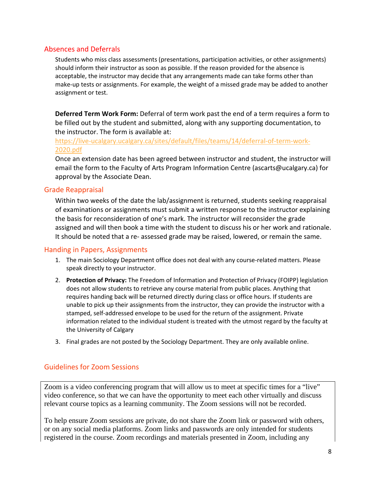### Absences and Deferrals

Students who miss class assessments (presentations, participation activities, or other assignments) should inform their instructor as soon as possible. If the reason provided for the absence is acceptable, the instructor may decide that any arrangements made can take forms other than make-up tests or assignments. For example, the weight of a missed grade may be added to another assignment or test.

**Deferred Term Work Form:** Deferral of term work past the end of a term requires a form to be filled out by the student and submitted, along with any supporting documentation, to the instructor. The form is available at:

[https://live-ucalgary.ucalgary.ca/sites/default/files/teams/14/deferral-of-term-work-](https://live-ucalgary.ucalgary.ca/sites/default/files/teams/14/deferral-of-term-work-2020.pdf)[2020.pdf](https://live-ucalgary.ucalgary.ca/sites/default/files/teams/14/deferral-of-term-work-2020.pdf)

Once an extension date has been agreed between instructor and student, the instructor will email the form to the Faculty of Arts Program Information Centre (ascarts@ucalgary.ca) for approval by the Associate Dean.

#### Grade Reappraisal

Within two weeks of the date the lab/assignment is returned, students seeking reappraisal of examinations or assignments must submit a written response to the instructor explaining the basis for reconsideration of one's mark. The instructor will reconsider the grade assigned and will then book a time with the student to discuss his or her work and rationale. It should be noted that a re- assessed grade may be raised, lowered, or remain the same.

### Handing in Papers, Assignments

- 1. The main Sociology Department office does not deal with any course-related matters. Please speak directly to your instructor.
- 2. **Protection of Privacy:** The Freedom of Information and Protection of Privacy (FOIPP) legislation does not allow students to retrieve any course material from public places. Anything that requires handing back will be returned directly during class or office hours. If students are unable to pick up their assignments from the instructor, they can provide the instructor with a stamped, self-addressed envelope to be used for the return of the assignment. Private information related to the individual student is treated with the utmost regard by the faculty at the University of Calgary
- 3. Final grades are not posted by the Sociology Department. They are only available online.

### Guidelines for Zoom Sessions

Zoom is a video conferencing program that will allow us to meet at specific times for a "live" video conference, so that we can have the opportunity to meet each other virtually and discuss relevant course topics as a learning community. The Zoom sessions will not be recorded.

To help ensure Zoom sessions are private, do not share the Zoom link or password with others, or on any social media platforms. Zoom links and passwords are only intended for students registered in the course. Zoom recordings and materials presented in Zoom, including any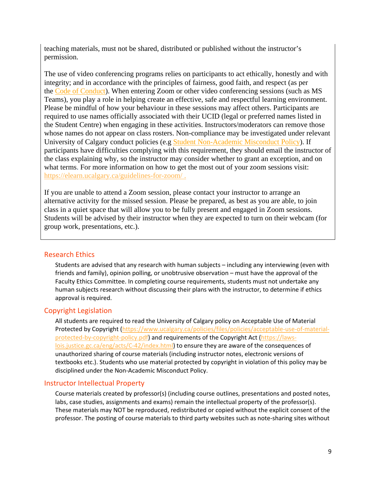teaching materials, must not be shared, distributed or published without the instructor's permission.

The use of video conferencing programs relies on participants to act ethically, honestly and with integrity; and in accordance with the principles of fairness, good faith, and respect (as per the [Code of Conduct\)](https://www.ucalgary.ca/policies/files/policies/code-of-conduct.pdf). When entering Zoom or other video conferencing sessions (such as MS Teams), you play a role in helping create an effective, safe and respectful learning environment. Please be mindful of how your behaviour in these sessions may affect others. Participants are required to use names officially associated with their UCID (legal or preferred names listed in the Student Centre) when engaging in these activities. Instructors/moderators can remove those whose names do not appear on class rosters. Non-compliance may be investigated under relevant University of Calgary conduct policies (e.g [Student Non-Academic Misconduct Policy\)](https://ucalgary.ca/policies/files/policies/non-academic-misconduct-policy.pdf). If participants have difficulties complying with this requirement, they should email the instructor of the class explaining why, so the instructor may consider whether to grant an exception, and on what terms. For more information on how to get the most out of your zoom sessions visit: <https://elearn.ucalgary.ca/guidelines-for-zoom/> .

If you are unable to attend a Zoom session, please contact your instructor to arrange an alternative activity for the missed session. Please be prepared, as best as you are able, to join class in a quiet space that will allow you to be fully present and engaged in Zoom sessions. Students will be advised by their instructor when they are expected to turn on their webcam (for group work, presentations, etc.).

#### Research Ethics

Students are advised that any research with human subjects – including any interviewing (even with friends and family), opinion polling, or unobtrusive observation – must have the approval of the Faculty Ethics Committee. In completing course requirements, students must not undertake any human subjects research without discussing their plans with the instructor, to determine if ethics approval is required.

#### Copyright Legislation

All students are required to read the University of Calgary policy on Acceptable Use of Material Protected by Copyright [\(https://www.ucalgary.ca/policies/files/policies/acceptable-use-of-material](https://www.ucalgary.ca/policies/files/policies/acceptable-use-of-material-protected-by-copyright-policy.pdf)[protected-by-copyright-policy.pdf\)](https://www.ucalgary.ca/policies/files/policies/acceptable-use-of-material-protected-by-copyright-policy.pdf) and requirements of the Copyright Act [\(https://laws](https://laws-lois.justice.gc.ca/eng/acts/C-42/index.html)[lois.justice.gc.ca/eng/acts/C-42/index.html\)](https://laws-lois.justice.gc.ca/eng/acts/C-42/index.html) to ensure they are aware of the consequences of unauthorized sharing of course materials (including instructor notes, electronic versions of textbooks etc.). Students who use material protected by copyright in violation of this policy may be disciplined under the Non-Academic Misconduct Policy.

#### Instructor Intellectual Property

Course materials created by professor(s) (including course outlines, presentations and posted notes, labs, case studies, assignments and exams) remain the intellectual property of the professor(s). These materials may NOT be reproduced, redistributed or copied without the explicit consent of the professor. The posting of course materials to third party websites such as note-sharing sites without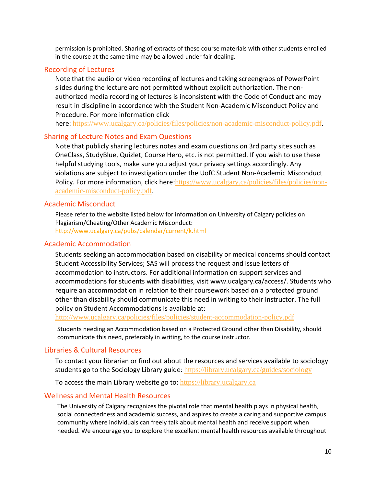permission is prohibited. Sharing of extracts of these course materials with other students enrolled in the course at the same time may be allowed under fair dealing.

#### Recording of Lectures

Note that the audio or video recording of lectures and taking screengrabs of PowerPoint slides during the lecture are not permitted without explicit authorization. The nonauthorized media recording of lectures is inconsistent with the Code of Conduct and may result in discipline in accordance with the Student Non-Academic Misconduct Policy and Procedure. For more information click

here: <https://www.ucalgary.ca/policies/files/policies/non-academic-misconduct-policy.pdf>.

#### Sharing of Lecture Notes and Exam Questions

Note that publicly sharing lectures notes and exam questions on 3rd party sites such as OneClass, StudyBlue, Quizlet, Course Hero, etc. is not permitted. If you wish to use these helpful studying tools, make sure you adjust your privacy settings accordingly. Any violations are subject to investigation under the UofC Student Non-Academic Misconduct Policy. For more information, click here: [https://www.ucalgary.ca/policies/files/policies/non](https://www.ucalgary.ca/policies/files/policies/non-academic-misconduct-policy.pdf)[academic-misconduct-policy.pdf](https://www.ucalgary.ca/policies/files/policies/non-academic-misconduct-policy.pdf).

#### Academic Misconduct

Please refer to the website listed below for information on University of Calgary policies on Plagiarism/Cheating/Other Academic Misconduct: <http://www.ucalgary.ca/pubs/calendar/current/k.html>

#### Academic Accommodation

Students seeking an accommodation based on disability or medical concerns should contact Student Accessibility Services; SAS will process the request and issue letters of accommodation to instructors. For additional information on support services and accommodations for students with disabilities, visit www.ucalgary.ca/access/. Students who require an accommodation in relation to their coursework based on a protected ground other than disability should communicate this need in writing to their Instructor. The full policy on Student Accommodations is available at:

<http://www.ucalgary.ca/policies/files/policies/student-accommodation-policy.pdf>

Students needing an Accommodation based on a Protected Ground other than Disability, should communicate this need, preferably in writing, to the course instructor.

#### Libraries & Cultural Resources

To contact your librarian or find out about the resources and services available to sociology students go to the Sociology Library guide: <https://library.ucalgary.ca/guides/sociology>

To access the main Library website go to: [https://library.ucalgary.ca](https://library.ucalgary.ca/)

#### Wellness and Mental Health Resources

The University of Calgary recognizes the pivotal role that mental health plays in physical health, social connectedness and academic success, and aspires to create a caring and supportive campus community where individuals can freely talk about mental health and receive support when needed. We encourage you to explore the excellent mental health resources available throughout